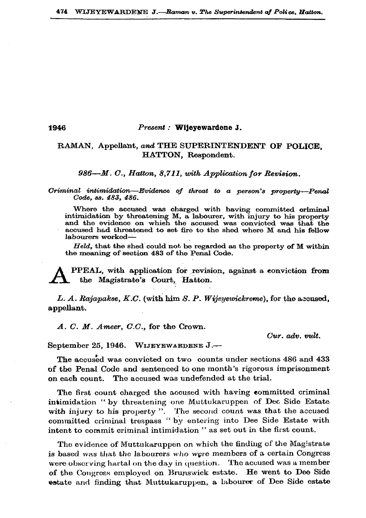## Present : Wijeyewardene J.

## RAMAN, Appellant, and THE SUPERINTENDENT OF POLICE. HATTON, Respondent.

986—M. C., Hatton, 8,711, with Application for Revision.

Criminal intimidation-Evidence of threat to a person's property-Penal Code. ss. 483. 486.

Where the accused was charged with having committed oriminal intimidation by threatening M, a labourer, with injury to his property and the evidence on which the accused was convicted was that the accused had threatened to set fire to the shed where M and his fellow labourers worked-

 $Held$ , that the shed could not be regarded as the property of M within the meaning of section 483 of the Penal Code.

PPEAL, with application for revision, against a conviction from the Magistrate's Court, Hatton.

L. A. Rajapakse, K.C. (with him S. P. Wijeyewickreme), for the accused, appellant.

A. C. M. Ameer, C.C., for the Crown.

1946

Cur. adv. vult.

September 25, 1946. WIJEYEWARDENE J.-

The accused was convicted on two counts under sections 486 and 433 of the Penal Code and sentenced to one month's rigorous imprisonment on each count. The accused was undefended at the trial.

The first count charged the accused with having committed criminal intimidation " by threatening one Muttukaruppen of Dec Side Estate with injury to his property". The second count was that the accused committed criminal trespass "by entering into Dee Side Estate with intent to commit criminal intimidation " as set out in the first count.

The evidence of Muttukaruppen on which the finding of the Magistrate is based was that the labourers who were members of a certain Congress were observing hartal on the day in question. The accused was a member He went to Dee Side of the Congress employed on Brunswick estate. estate and finding that Muttukaruppen, a labourer of Dee Side estate